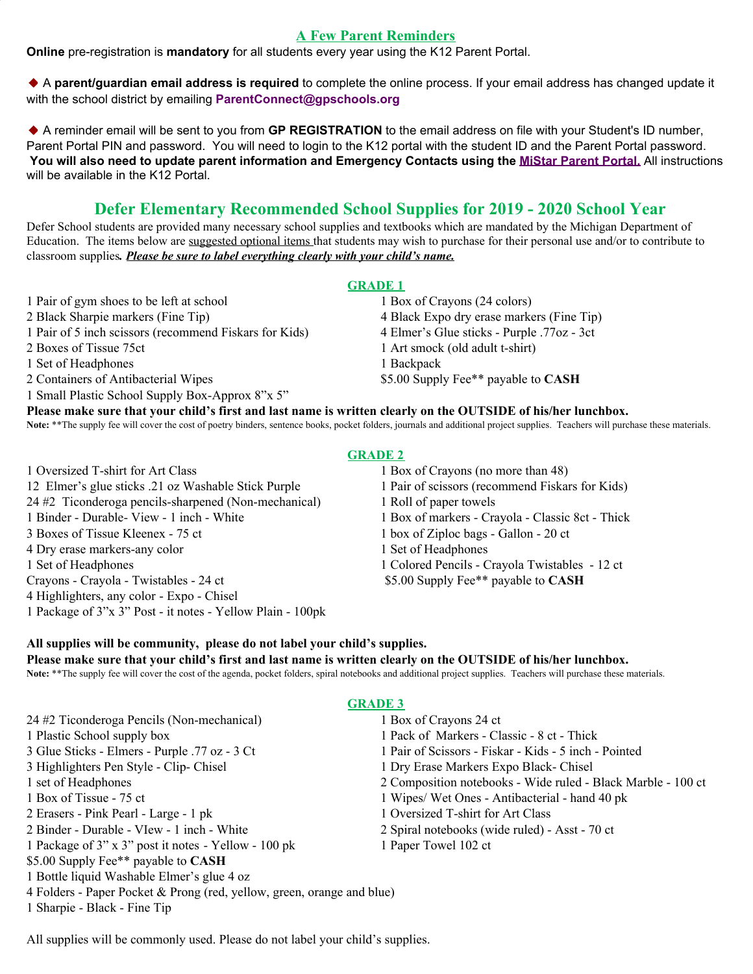### **A Few Parent Reminders**

**Online** pre-registration is **mandatory** for all students every year using the K12 Parent Portal.

A **parent/guardian email address is required** to complete the online process. If your email address has changed update it with the school district by emailing **[ParentConnect@gpschools.org](http://gpschools.schoolwires.net/Page/mailtParentConnect@gpschools.org)**

A reminder email will be sent to you from **GP REGISTRATION** to the email address on file with your Student's ID number, Parent Portal PIN and password. You will need to login to the K12 portal with the student ID and the Parent Portal password. You will also need to update parent information and Emergency Contacts using the MiStar [Parent](https://zangleweb.resa.net/grossepointe/parentconnect/) Portal. All instructions will be available in the K12 Portal.

# **Defer Elementary Recommended School Supplies for 2019 - 2020 School Year**

Defer School students are provided many necessary school supplies and textbooks which are mandated by the Michigan Department of Education. The items below are suggested optional items that students may wish to purchase for their personal use and/or to contribute to classroom supplies*. Please be sure to label everything clearly with your child's name.*

#### **GRADE 1**

1 Pair of gym shoes to be left at school 1 Box of Crayons (24 colors) 2 Black Sharpie markers (Fine Tip) 4 Black Expo dry erase markers (Fine Tip) 1 Pair of 5 inch scissors (recommend Fiskars for Kids) 4 Elmer's Glue sticks - Purple .77oz - 3ct 2 Boxes of Tissue 75ct 1 Art smock (old adult t-shirt) 1 Set of Headphones 1 Backpack 2 Containers of Antibacterial Wipes \$5.00 Supply Fee\*\* payable to **CASH** 1 Small Plastic School Supply Box-Approx 8"x 5"

**Please make sure that your child's first and last name is written clearly on the OUTSIDE of his/her lunchbox.** Note: \*\*The supply fee will cover the cost of poetry binders, sentence books, pocket folders, journals and additional project supplies. Teachers will purchase these materials.

1 Oversized T-shirt for Art Class 1 Box of Crayons (no more than 48) 12 Elmer's glue sticks .21 oz Washable Stick Purple 1 Pair of scissors (recommend Fiskars for Kids) 24 #2 Ticonderoga pencils-sharpened (Non-mechanical) 1 Roll of paper towels 1 Binder - Durable- View - 1 inch - White 1 Box of markers - Crayola - Classic 8ct - Thick 3 Boxes of Tissue Kleenex - 75 ct 1 box of Ziploc bags - Gallon - 20 ct 4 Dry erase markers-any color 1 Set of Headphones 1 Set of Headphones 1 Colored Pencils - Crayola Twistables - 12 ct Crayons - Crayola - Twistables - 24 ct \$5.00 Supply Fee\*\* payable to **CASH** 4 Highlighters, any color - Expo - Chisel 1 Package of 3"x 3" Post - it notes - Yellow Plain - 100pk

#### **GRADE 2**

## **All supplies will be community, please do not label your child's supplies. Please make sure that your child's first and last name is written clearly on the OUTSIDE of his/her lunchbox.**

Note: \*\*The supply fee will cover the cost of the agenda, pocket folders, spiral notebooks and additional project supplies. Teachers will purchase these materials.

#### **GRADE 3**

24 #2 Ticonderoga Pencils (Non-mechanical) 1 Box of Crayons 24 ct 1 Plastic School supply box 1 Pack of Markers - Classic - 8 ct - Thick 3 Glue Sticks - Elmers - Purple .77 oz - 3 Ct 1 Pair of Scissors - Fiskar - Kids - 5 inch - Pointed 3 Highlighters Pen Style - Clip- Chisel 1 Dry Erase Markers Expo Black- Chisel 1 set of Headphones 2 Composition notebooks - Wide ruled - Black Marble - 100 ct 1 Box of Tissue - 75 ct 1 Wipes/ Wet Ones - Antibacterial - hand 40 pk 2 Erasers - Pink Pearl - Large - 1 pk 1 Oversized T-shirt for Art Class 2 Binder - Durable - VIew - 1 inch - White 2 Spiral notebooks (wide ruled) - Asst - 70 ct 1 Package of 3" x 3" post it notes - Yellow - 100 pk 1 Paper Towel 102 ct \$5.00 Supply Fee\*\* payable to **CASH** 1 Bottle liquid Washable Elmer's glue 4 oz 4 Folders - Paper Pocket & Prong (red, yellow, green, orange and blue) 1 Sharpie - Black - Fine Tip

All supplies will be commonly used. Please do not label your child's supplies.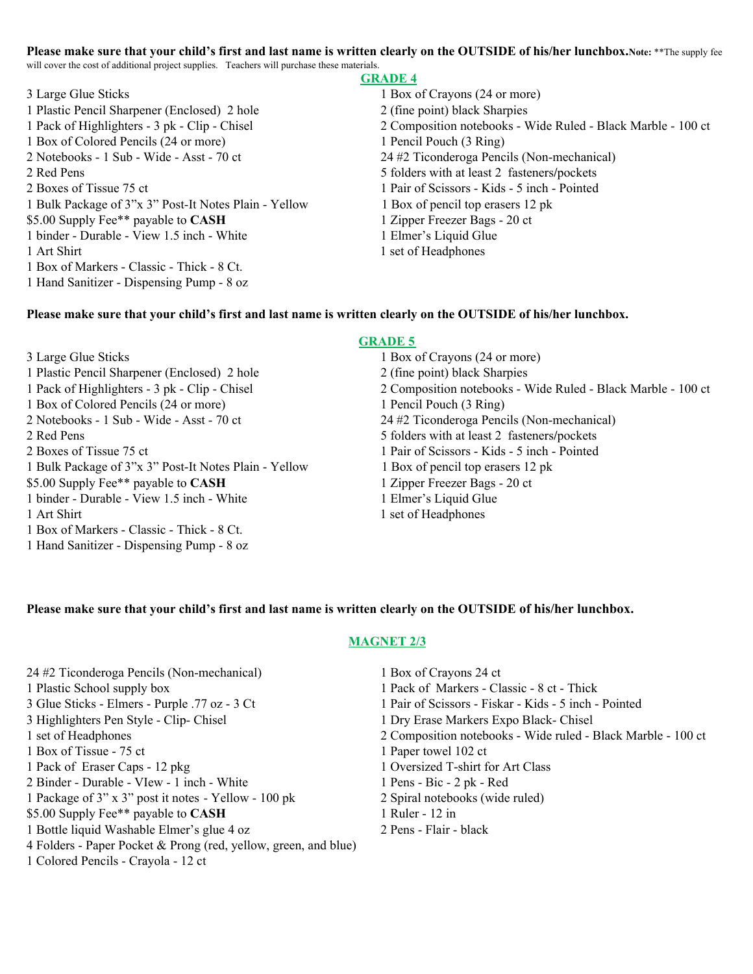#### **Please make sure that your child's first and last name is written clearly on the OUTSIDE of his/her lunchbox.Note:** \*\*The supply fee will cover the cost of additional project supplies. Teachers will purchase these materials.

3 Large Glue Sticks 1 Box of Crayons (24 or more) 1 Plastic Pencil Sharpener (Enclosed) 2 hole 2 (fine point) black Sharpies 1 Box of Colored Pencils (24 or more) 1 Pencil Pouch (3 Ring) 2 Notebooks - 1 Sub - Wide - Asst - 70 ct 24 #2 Ticonderoga Pencils (Non-mechanical) 2 Red Pens 5 folders with at least 2 fasteners**/**pockets 2 Boxes of Tissue 75 ct 1 Pair of Scissors - Kids - 5 inch - Pointed 1 Bulk Package of 3"x 3" Post-It Notes Plain - Yellow 1 Box of pencil top erasers 12 pk \$5.00 Supply Fee\*\* payable to **CASH** 1 Zipper Freezer Bags - 20 ct 1 binder - Durable - View 1.5 inch - White 1 Elmer's Liquid Glue 1 Art Shirt 1 set of Headphones 1 Box of Markers - Classic - Thick - 8 Ct. 1 Hand Sanitizer - Dispensing Pump - 8 oz

#### **GRADE 4**

1 Pack of Highlighters - 3 pk - Clip - Chisel 2 Composition notebooks - Wide Ruled - Black Marble - 100 ct

#### **Please make sure that your child's first and last name is written clearly on the OUTSIDE of his/her lunchbox.**

3 Large Glue Sticks 1 Box of Crayons (24 or more) 1 Plastic Pencil Sharpener (Enclosed) 2 hole 2 (fine point) black Sharpies 1 Box of Colored Pencils (24 or more) 1 Pencil Pouch (3 Ring) 2 Notebooks - 1 Sub - Wide - Asst - 70 ct 24 #2 Ticonderoga Pencils (Non-mechanical) 2 Red Pens 5 folders with at least 2 fasteners**/**pockets 2 Boxes of Tissue 75 ct 1 Pair of Scissors - Kids - 5 inch - Pointed 1 Bulk Package of 3"x 3" Post-It Notes Plain - Yellow 1 Box of pencil top erasers 12 pk \$5.00 Supply Fee\*\* payable to **CASH** 1 Zipper Freezer Bags - 20 ct 1 binder - Durable - View 1.5 inch - White 1 Elmer's Liquid Glue 1 Art Shirt 1 set of Headphones 1 Box of Markers - Classic - Thick - 8 Ct. 1 Hand Sanitizer - Dispensing Pump - 8 oz

# **GRADE 5**

1 Pack of Highlighters - 3 pk - Clip - Chisel 2 Composition notebooks - Wide Ruled - Black Marble - 100 ct

#### **Please make sure that your child's first and last name is written clearly on the OUTSIDE of his/her lunchbox.**

#### **MAGNET 2/3**

| 24 #2 Ticonderoga Pencils (Non-mechanical)                      | 1 Box of Crayons 24 ct                                       |
|-----------------------------------------------------------------|--------------------------------------------------------------|
| 1 Plastic School supply box                                     | 1 Pack of Markers - Classic - 8 ct - Thick                   |
| 3 Glue Sticks - Elmers - Purple .77 oz - 3 Ct                   | 1 Pair of Scissors - Fiskar - Kids - 5 inch - Pointed        |
| 3 Highlighters Pen Style - Clip- Chisel                         | 1 Dry Erase Markers Expo Black-Chisel                        |
| 1 set of Headphones                                             | 2 Composition notebooks - Wide ruled - Black Marble - 100 ct |
| 1 Box of Tissue - 75 ct                                         | 1 Paper towel 102 ct                                         |
| 1 Pack of Eraser Caps - 12 pkg                                  | 1 Oversized T-shirt for Art Class                            |
| 2 Binder - Durable - VIew - 1 inch - White                      | $1$ Pens - Bic - $2$ pk - Red                                |
| 1 Package of 3" x 3" post it notes - Yellow - 100 pk            | 2 Spiral notebooks (wide ruled)                              |
| \$5.00 Supply Fee** payable to CASH                             | 1 Ruler - 12 in                                              |
| 1 Bottle liquid Washable Elmer's glue 4 oz                      | 2 Pens - Flair - black                                       |
| 4 Folders - Paper Pocket & Prong (red, yellow, green, and blue) |                                                              |
| 1 Colored Pencils - Crayola - 12 ct                             |                                                              |